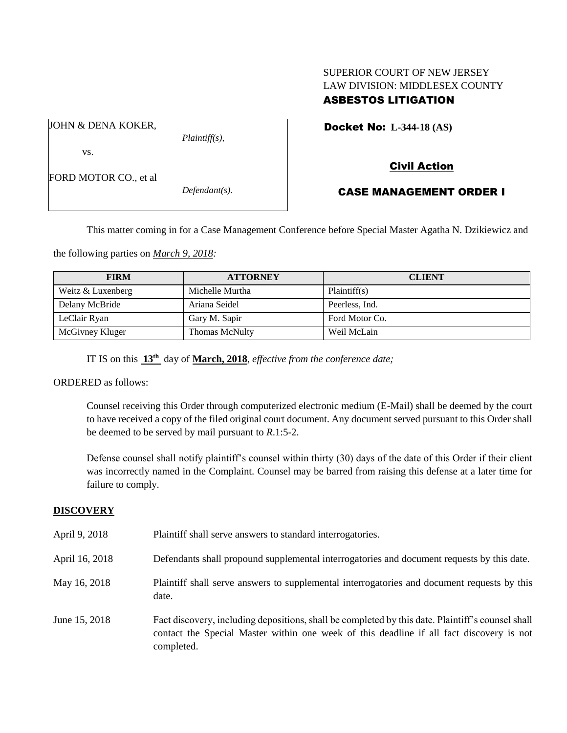### SUPERIOR COURT OF NEW JERSEY LAW DIVISION: MIDDLESEX COUNTY ASBESTOS LITIGATION

Docket No: **L-344-18 (AS)** 

vs.

FORD MOTOR CO., et al

JOHN & DENA KOKER,

*Defendant(s).*

*Plaintiff(s),*

# Civil Action

## CASE MANAGEMENT ORDER I

This matter coming in for a Case Management Conference before Special Master Agatha N. Dzikiewicz and

the following parties on *March 9, 2018:*

| <b>FIRM</b>       | <b>ATTORNEY</b>       | <b>CLIENT</b>  |
|-------------------|-----------------------|----------------|
| Weitz & Luxenberg | Michelle Murtha       | Plaintiff(s)   |
| Delany McBride    | Ariana Seidel         | Peerless, Ind. |
| LeClair Ryan      | Gary M. Sapir         | Ford Motor Co. |
| McGivney Kluger   | <b>Thomas McNulty</b> | Weil McLain    |

IT IS on this **13th** day of **March, 2018**, *effective from the conference date;*

ORDERED as follows:

Counsel receiving this Order through computerized electronic medium (E-Mail) shall be deemed by the court to have received a copy of the filed original court document. Any document served pursuant to this Order shall be deemed to be served by mail pursuant to *R*.1:5-2.

Defense counsel shall notify plaintiff's counsel within thirty (30) days of the date of this Order if their client was incorrectly named in the Complaint. Counsel may be barred from raising this defense at a later time for failure to comply.

#### **DISCOVERY**

| April 9, 2018  | Plaintiff shall serve answers to standard interrogatories.                                                                                                                                                  |
|----------------|-------------------------------------------------------------------------------------------------------------------------------------------------------------------------------------------------------------|
| April 16, 2018 | Defendants shall propound supplemental interrogatories and document requests by this date.                                                                                                                  |
| May 16, 2018   | Plaintiff shall serve answers to supplemental interrogatories and document requests by this<br>date.                                                                                                        |
| June 15, 2018  | Fact discovery, including depositions, shall be completed by this date. Plaintiff's counsel shall<br>contact the Special Master within one week of this deadline if all fact discovery is not<br>completed. |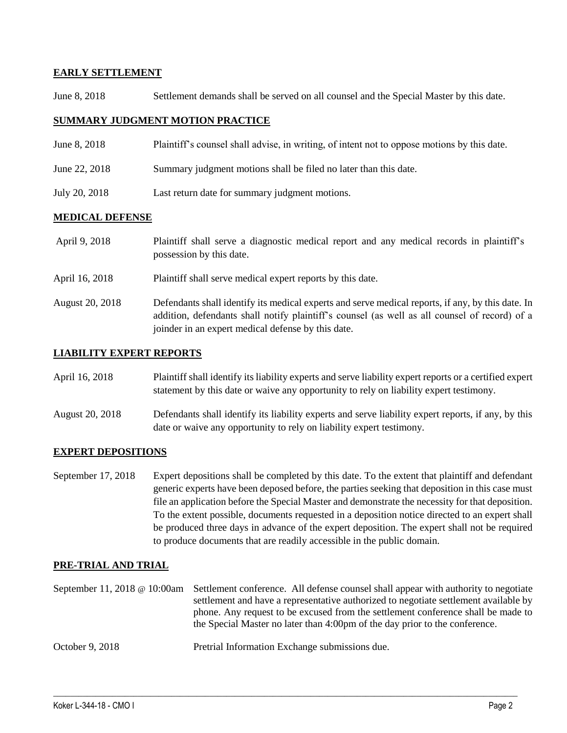#### **EARLY SETTLEMENT**

June 8, 2018 Settlement demands shall be served on all counsel and the Special Master by this date.

#### **SUMMARY JUDGMENT MOTION PRACTICE**

- June 8, 2018 Plaintiff's counsel shall advise, in writing, of intent not to oppose motions by this date.
- June 22, 2018 Summary judgment motions shall be filed no later than this date.
- July 20, 2018 Last return date for summary judgment motions.

#### **MEDICAL DEFENSE**

| April 9, 2018   | Plaintiff shall serve a diagnostic medical report and any medical records in plaintiff's<br>possession by this date.                                                                                                                                     |
|-----------------|----------------------------------------------------------------------------------------------------------------------------------------------------------------------------------------------------------------------------------------------------------|
| April 16, 2018  | Plaintiff shall serve medical expert reports by this date.                                                                                                                                                                                               |
| August 20, 2018 | Defendants shall identify its medical experts and serve medical reports, if any, by this date. In<br>addition, defendants shall notify plaintiff's counsel (as well as all counsel of record) of a<br>joinder in an expert medical defense by this date. |

#### **LIABILITY EXPERT REPORTS**

| April 16, 2018 | Plaintiff shall identify its liability experts and serve liability expert reports or a certified expert |
|----------------|---------------------------------------------------------------------------------------------------------|
|                | statement by this date or waive any opportunity to rely on liability expert testimony.                  |

August 20, 2018 Defendants shall identify its liability experts and serve liability expert reports, if any, by this date or waive any opportunity to rely on liability expert testimony.

#### **EXPERT DEPOSITIONS**

September 17, 2018 Expert depositions shall be completed by this date. To the extent that plaintiff and defendant generic experts have been deposed before, the parties seeking that deposition in this case must file an application before the Special Master and demonstrate the necessity for that deposition. To the extent possible, documents requested in a deposition notice directed to an expert shall be produced three days in advance of the expert deposition. The expert shall not be required to produce documents that are readily accessible in the public domain.

#### **PRE-TRIAL AND TRIAL**

| September 11, 2018 @ 10:00am Settlement conference. All defense counsel shall appear with authority to negotiate<br>settlement and have a representative authorized to negotiate settlement available by<br>phone. Any request to be excused from the settlement conference shall be made to<br>the Special Master no later than 4:00pm of the day prior to the conference. |
|-----------------------------------------------------------------------------------------------------------------------------------------------------------------------------------------------------------------------------------------------------------------------------------------------------------------------------------------------------------------------------|
|                                                                                                                                                                                                                                                                                                                                                                             |

 $\_$  ,  $\_$  ,  $\_$  ,  $\_$  ,  $\_$  ,  $\_$  ,  $\_$  ,  $\_$  ,  $\_$  ,  $\_$  ,  $\_$  ,  $\_$  ,  $\_$  ,  $\_$  ,  $\_$  ,  $\_$  ,  $\_$  ,  $\_$  ,  $\_$  ,  $\_$  ,  $\_$  ,  $\_$  ,  $\_$  ,  $\_$  ,  $\_$  ,  $\_$  ,  $\_$  ,  $\_$  ,  $\_$  ,  $\_$  ,  $\_$  ,  $\_$  ,  $\_$  ,  $\_$  ,  $\_$  ,  $\_$  ,  $\_$  ,